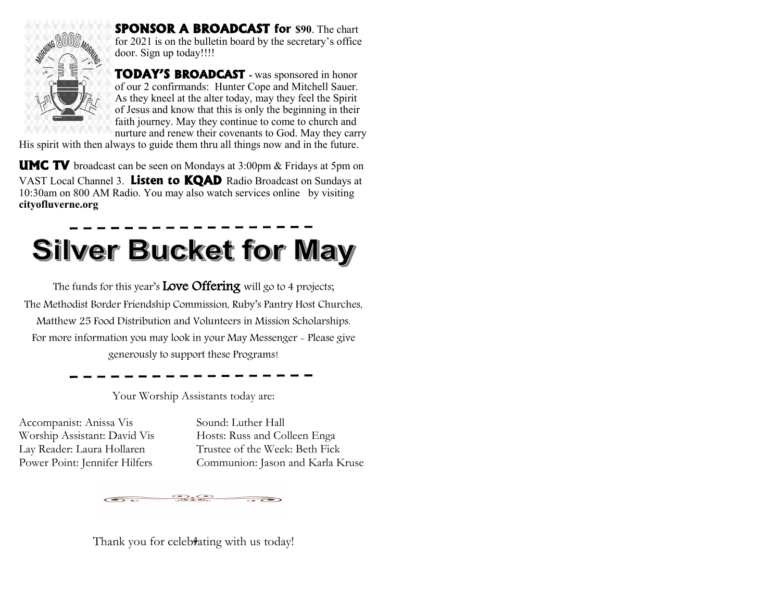

**SPONSOR A BROADCAST for \$90**. The chart for 2021 is on the bulletin board by the secretary's office door. Sign up today!!!!

**TODAY'S BROADCAST -** was sponsored in honor of our 2 confirmands: Hunter Cope and Mitchell Sauer. As they kneel at the alter today, may they feel the Spirit of Jesus and know that this is only the beginning in their faith journey. May they continue to come to church and nurture and renew their covenants to God. May they carry

His spirit with then always to guide them thru all things now and in the future.

**UMC TV** broadcast can be seen on Mondays at 3:00pm & Fridays at 5pm on VAST Local Channel 3. **Listen to KQAD** Radio Broadcast on Sundays at 10:30am on 800 AM Radio. You may also watch services online by visiting **cityofluverne.org**

# **Silver Bucket for May**

The funds for this year's **Love Offering** will go to 4 projects; The Methodist Border Friendship Commission, Ruby's Pantry Host Churches, Matthew 25 Food Distribution and Volunteers in Mission Scholarships. For more information you may look in your May Messenger - Please give generously to support these Programs!

Your Worship Assistants today are:

Accompanist: Anissa Vis Sound: Luther Hall Worship Assistant: David Vis Hosts: Russ and Colleen Enga

Lay Reader: Laura Hollaren Trustee of the Week: Beth Fick Power Point: Jennifer Hilfers Communion: Jason and Karla Kruse

 $\bullet$ . $\bullet$ 

Thank you for celebtating with us today!